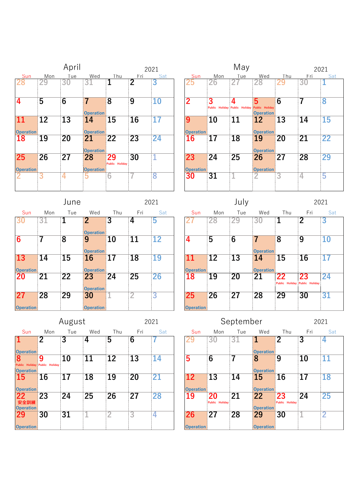|                        |                 | April           |                        |                      |                       | 2021            |                                     |           | May             |                                                                       |                |                 | 2021            |
|------------------------|-----------------|-----------------|------------------------|----------------------|-----------------------|-----------------|-------------------------------------|-----------|-----------------|-----------------------------------------------------------------------|----------------|-----------------|-----------------|
| Sun<br>28              | Mon<br>29       | Tue<br>30       | Wed<br>31              | Thu<br>1             | Fri<br>$\overline{2}$ | Sat<br>3        | Sun<br>25                           | Mon<br>26 | Tue             | Wed<br>28                                                             | Thu<br>29      | Fri<br>30       | Sat             |
| $\overline{4}$         | $\overline{5}$  | $\overline{6}$  | 7<br><b>Operation</b>  | $\overline{8}$       | $\overline{9}$        | $\overline{10}$ | $\overline{2}$                      | 3         | 4               | 5<br>Public Holiday Public Holiday Public Holiday<br><b>Operation</b> | $\overline{6}$ | 7               | 8               |
| 11<br><b>Operation</b> | $\overline{12}$ | $\overline{13}$ | 14<br><b>Operation</b> | 15                   | 16                    |                 | 9<br><b>Operation</b>               | 10        | 11              | 12<br><b>Operation</b>                                                | 13             | 14              | <b>15</b>       |
| <b>18</b>              | 19              | 20              | 21<br><b>Operation</b> | $\overline{22}$      | $\overline{23}$       | $\overline{24}$ | 16                                  | 17        | 18              | 19<br><b>Operation</b>                                                | 20             | $\overline{21}$ | $\overline{22}$ |
| 25<br><b>Operation</b> | $\overline{26}$ | $\overline{27}$ | 28<br><b>Operation</b> | 29<br>Public Holiday | 30                    |                 | $\overline{23}$<br><b>Operation</b> | 24        | $\overline{25}$ | 26<br><b>Operation</b>                                                | 27             | 28              | 29              |
|                        |                 | 4               | ხ                      | 6                    |                       | 8               | 30                                  | 31        |                 | ∠                                                                     | 3              | 4               | 5               |

|                                     |                 | June            |                                    |     |                 | 2021            |                                     |     | July            |                        |                |                                     | 2021            |
|-------------------------------------|-----------------|-----------------|------------------------------------|-----|-----------------|-----------------|-------------------------------------|-----|-----------------|------------------------|----------------|-------------------------------------|-----------------|
| Sun                                 | Mon             | Tue             | Wed                                | Thu | Fri             | Sat             | Sun                                 | Mon | Tue             | Wed                    | Thu            | Fri                                 | S               |
| 30                                  | 31              |                 | $\overline{2}$<br><b>Operation</b> | 3   | 4               | 5               |                                     | 28  | 29              | 30                     | 1              | $\overline{2}$                      | 3               |
| $\overline{\mathbf{6}}$             |                 | $\overline{8}$  | 9<br><b>Operation</b>              | 10  | $\overline{11}$ | 12              | 4                                   | 5   | $\overline{6}$  | <b>Operation</b>       | $\overline{8}$ | $\overline{9}$                      | $\overline{10}$ |
| $\overline{13}$<br><b>Operation</b> | 14              | 15              | 16<br><b>Operation</b>             | 17  | 18              | 19              | 11<br><b>Operation</b>              | 12  | 13              | 14<br><b>Operation</b> | 15             | 16                                  | 17              |
| <b>20</b>                           | $\overline{21}$ | $\overline{22}$ | 23<br><b>Operation</b>             | 24  | 25              | $\overline{26}$ | 18                                  | 19  | 20              | 21                     | 22             | 23<br>Public Holiday Public Holiday | 24              |
| 27<br><b>Operation</b>              | 28              | 29              | 30<br><b>Operation</b>             |     | n               | 3               | $\overline{25}$<br><b>Operation</b> | 26  | $\overline{27}$ | 28                     | 29             | 30                                  | 31              |

|                                    |                 |                    |                                    |                 |                 |      | $\check{ }$            | --              |                 |                        |                                     |                 |                 |
|------------------------------------|-----------------|--------------------|------------------------------------|-----------------|-----------------|------|------------------------|-----------------|-----------------|------------------------|-------------------------------------|-----------------|-----------------|
|                                    |                 | June               |                                    |                 |                 | 2021 |                        |                 | July            |                        |                                     | 2021            |                 |
| Sun                                | Mon             | Tue                | Wed                                | Thu             | Fri             | Sat  | Sun                    | Mon             | Tue             | Wed                    | Thu                                 | Fri             | Sat             |
|                                    | 31              |                    | $\overline{2}$<br><b>Operation</b> | 3               | 4               | 5    |                        | 28              | 29              | 30                     |                                     | $\overline{2}$  | 3               |
|                                    |                 | $\overline{\bf 8}$ | 9<br><b>Operation</b>              | 10              | 11              | 12   | 4                      | $\overline{5}$  | $\overline{6}$  | <b>Operation</b>       | $\overline{8}$                      | $\overline{9}$  | $\overline{10}$ |
| $\overline{\mathbf{3}}$<br>eration | 14              | $\overline{15}$    | 16<br><b>Operation</b>             | 17              | $\overline{18}$ | 19   | 11<br><b>Operation</b> | $\overline{12}$ | $\overline{13}$ | 14<br><b>Operation</b> | 15                                  | $\overline{16}$ | 17              |
|                                    | $\overline{21}$ | $\overline{22}$    | 23<br><b>Operation</b>             | $\overline{24}$ | $\overline{25}$ | 26   | 18                     | 19              | 20              | 21                     | 22<br>Public Holiday Public Holiday | 23              | 24              |
| eration!                           | 28              | $\overline{29}$    | 30<br><b>Oneration</b>             |                 | 0               | 3    | 25<br><b>Operation</b> | $\overline{26}$ | $\overline{27}$ | 28                     | 29                                  | $\overline{30}$ | 31              |

|                            |                        | August          |     |                 |                 | 2021            |    |                  |                 | September       |                  |                |                 | 2021            |
|----------------------------|------------------------|-----------------|-----|-----------------|-----------------|-----------------|----|------------------|-----------------|-----------------|------------------|----------------|-----------------|-----------------|
| Sun                        | Mon                    | Tue             | Wed | Thu             | Fri             | Sat             |    | Sun              | Mon             | Tue             | Wed              | Thu            | Fri             | Sat             |
| $\mathbf 1$                | 2                      | 3               | 4   | 5               | 6               |                 |    |                  | 30              | 31              |                  | 2              | 3               |                 |
| <b>Operation</b>           |                        |                 |     |                 |                 |                 |    |                  |                 |                 | <b>Operation</b> |                |                 |                 |
| 8                          | 9                      | 10              | 11  | $\overline{12}$ | $\overline{13}$ | $1\overline{4}$ | 5  |                  | 6               |                 | 8                | 9              | 10              | $1\overline{1}$ |
| Public<br><b>Operation</b> | Holiday Public Holiday |                 |     |                 |                 |                 |    |                  |                 |                 | <b>Operation</b> |                |                 |                 |
| <b>15</b>                  | 16                     | 17              | 18  | 19              | 20              | 21              | 12 |                  | <b>13</b>       | 14              | 15               | 16             | 17              | 18              |
| <b>Operation</b>           |                        |                 |     |                 |                 |                 |    | <b>Operation</b> |                 |                 | <b>Operation</b> |                |                 |                 |
| 22                         | 23                     | $\overline{24}$ | 25  | $\overline{26}$ | $\overline{27}$ | 28              | 19 |                  | 20              | $2\overline{1}$ | 22               | 23             | $\overline{24}$ | 25              |
| 安全訓練                       |                        |                 |     |                 |                 |                 |    |                  | Public Holiday  |                 | <b>Operation</b> | Public Holiday |                 |                 |
| Operation                  | 30                     | $\overline{31}$ |     | ←               | 3               | 4               | 26 |                  | $\overline{27}$ | 28              | 29               | 30             |                 | റ<br>-          |
| <b>Operation</b>           |                        |                 |     |                 |                 |                 |    | <b>Operation</b> |                 |                 | <b>Operation</b> |                |                 |                 |

|           |                 |                 |                 |     |                        |                 |                        |                      |                             |                                                                                                        | 2021           |
|-----------|-----------------|-----------------|-----------------|-----|------------------------|-----------------|------------------------|----------------------|-----------------------------|--------------------------------------------------------------------------------------------------------|----------------|
| Tue       | Wed             | Thu             | Fri             | Sat | Sun                    | Mon             | Tue                    | Wed                  | Thu                         | Fri                                                                                                    | Sat            |
| 3         | 4               | 5               | 6               |     | 29                     | 3U              | 3.                     |                      | 2                           | 3                                                                                                      |                |
| <b>10</b> | 11              | 12              | 13              | 14  | 5                      | 6               | 7                      | 8                    | 9                           | 10                                                                                                     | 11             |
|           |                 |                 |                 |     |                        |                 |                        | <b>15</b>            |                             |                                                                                                        | 18             |
| 24        | $\overline{25}$ | $\overline{26}$ | $\overline{27}$ | 28  | 19                     | 20              | 21                     | 22                   | 23<br><b>Public Holiday</b> | $\overline{24}$                                                                                        | 25             |
| 31        |                 | $\overline{2}$  | 3               |     | 26<br><b>Operation</b> | 27              | $\overline{28}$        | 29                   | 30                          |                                                                                                        | $\overline{2}$ |
|           | 17              | August<br>18    | 19              | 20  | 2021<br>21             | $\overline{12}$ | 13<br><b>Operation</b> | 14<br>Public Holiday | September                   | <b>Operation</b><br><b>Operation</b><br>16<br><b>Operation</b><br><b>Operation</b><br><b>Operation</b> | 17             |